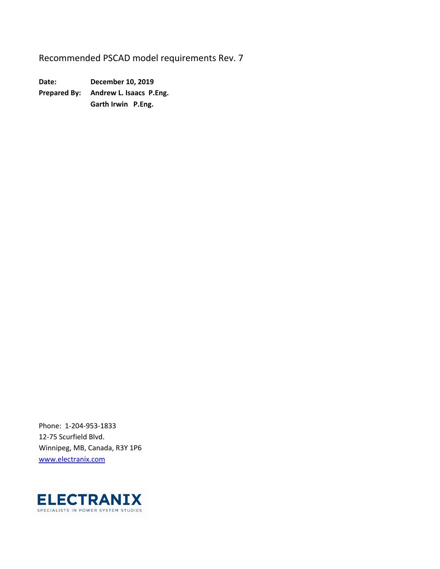Recommended PSCAD model requirements Rev. 7

**Date: December 10, 2019 Prepared By: Andrew L. Isaacs P.Eng. Garth Irwin P.Eng.** 

Phone: 1‐204‐953‐1833 12‐75 Scurfield Blvd. Winnipeg, MB, Canada, R3Y 1P6 www.electranix.com

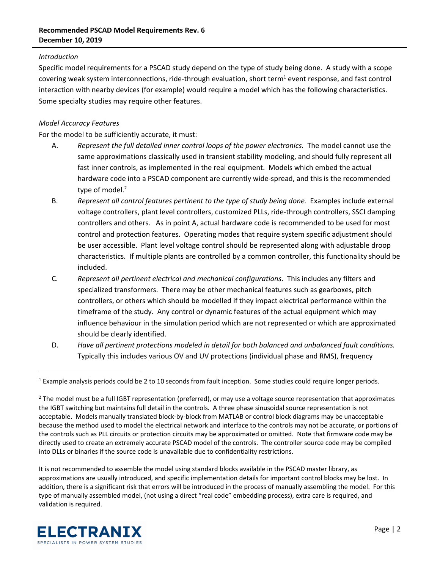## *Introduction*

Specific model requirements for a PSCAD study depend on the type of study being done. A study with a scope covering weak system interconnections, ride-through evaluation, short term<sup>1</sup> event response, and fast control interaction with nearby devices (for example) would require a model which has the following characteristics. Some specialty studies may require other features.

## *Model Accuracy Features*

For the model to be sufficiently accurate, it must:

- A. *Represent the full detailed inner control loops of the power electronics.*  The model cannot use the same approximations classically used in transient stability modeling, and should fully represent all fast inner controls, as implemented in the real equipment. Models which embed the actual hardware code into a PSCAD component are currently wide‐spread, and this is the recommended type of model.<sup>2</sup>
- B. *Represent all control features pertinent to the type of study being done.* Examples include external voltage controllers, plant level controllers, customized PLLs, ride‐through controllers, SSCI damping controllers and others. As in point A, actual hardware code is recommended to be used for most control and protection features. Operating modes that require system specific adjustment should be user accessible. Plant level voltage control should be represented along with adjustable droop characteristics. If multiple plants are controlled by a common controller, this functionality should be included.
- C. *Represent all pertinent electrical and mechanical configurations*. This includes any filters and specialized transformers. There may be other mechanical features such as gearboxes, pitch controllers, or others which should be modelled if they impact electrical performance within the timeframe of the study. Any control or dynamic features of the actual equipment which may influence behaviour in the simulation period which are not represented or which are approximated should be clearly identified.
- D. *Have all pertinent protections modeled in detail for both balanced and unbalanced fault conditions.*  Typically this includes various OV and UV protections (individual phase and RMS), frequency

It is not recommended to assemble the model using standard blocks available in the PSCAD master library, as approximations are usually introduced, and specific implementation details for important control blocks may be lost. In addition, there is a significant risk that errors will be introduced in the process of manually assembling the model. For this type of manually assembled model, (not using a direct "real code" embedding process), extra care is required, and validation is required.



<sup>&</sup>lt;sup>1</sup> Example analysis periods could be 2 to 10 seconds from fault inception. Some studies could require longer periods.

 $^2$  The model must be a full IGBT representation (preferred), or may use a voltage source representation that approximates the IGBT switching but maintains full detail in the controls. A three phase sinusoidal source representation is not acceptable. Models manually translated block‐by‐block from MATLAB or control block diagrams may be unacceptable because the method used to model the electrical network and interface to the controls may not be accurate, or portions of the controls such as PLL circuits or protection circuits may be approximated or omitted. Note that firmware code may be directly used to create an extremely accurate PSCAD model of the controls. The controller source code may be compiled into DLLs or binaries if the source code is unavailable due to confidentiality restrictions.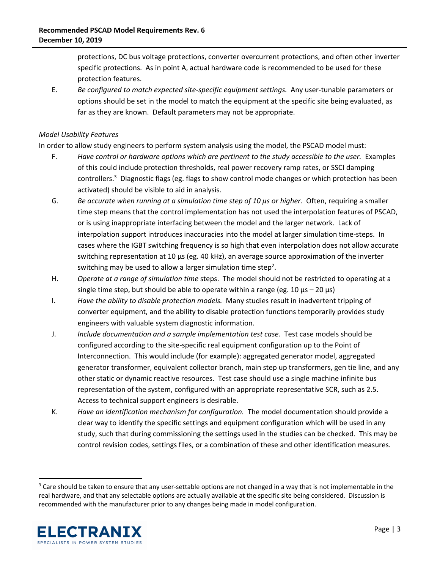protections, DC bus voltage protections, converter overcurrent protections, and often other inverter specific protections. As in point A, actual hardware code is recommended to be used for these protection features.

E. *Be configured to match expected site*‐*specific equipment settings.* Any user‐tunable parameters or options should be set in the model to match the equipment at the specific site being evaluated, as far as they are known. Default parameters may not be appropriate.

## *Model Usability Features*

In order to allow study engineers to perform system analysis using the model, the PSCAD model must:

- F. *Have control or hardware options which are pertinent to the study accessible to the user.* Examples of this could include protection thresholds, real power recovery ramp rates, or SSCI damping controllers.<sup>3</sup> Diagnostic flags (eg. flags to show control mode changes or which protection has been activated) should be visible to aid in analysis.
- G. *Be accurate when running at a simulation time step of 10 μs or higher*. Often, requiring a smaller time step means that the control implementation has not used the interpolation features of PSCAD, or is using inappropriate interfacing between the model and the larger network. Lack of interpolation support introduces inaccuracies into the model at larger simulation time‐steps. In cases where the IGBT switching frequency is so high that even interpolation does not allow accurate switching representation at 10 μs (eg. 40 kHz), an average source approximation of the inverter switching may be used to allow a larger simulation time step<sup>2</sup>.
- H. *Operate at a range of simulation time* steps. The model should not be restricted to operating at a single time step, but should be able to operate within a range (eg. 10  $\mu$ s – 20  $\mu$ s)
- I. *Have the ability to disable protection models.* Many studies result in inadvertent tripping of converter equipment, and the ability to disable protection functions temporarily provides study engineers with valuable system diagnostic information.
- J. *Include documentation and a sample implementation test case.* Test case models should be configured according to the site‐specific real equipment configuration up to the Point of Interconnection. This would include (for example): aggregated generator model, aggregated generator transformer, equivalent collector branch, main step up transformers, gen tie line, and any other static or dynamic reactive resources. Test case should use a single machine infinite bus representation of the system, configured with an appropriate representative SCR, such as 2.5. Access to technical support engineers is desirable.
- K. *Have an identification mechanism for configuration.* The model documentation should provide a clear way to identify the specific settings and equipment configuration which will be used in any study, such that during commissioning the settings used in the studies can be checked. This may be control revision codes, settings files, or a combination of these and other identification measures.

<sup>&</sup>lt;sup>3</sup> Care should be taken to ensure that any user-settable options are not changed in a way that is not implementable in the real hardware, and that any selectable options are actually available at the specific site being considered. Discussion is recommended with the manufacturer prior to any changes being made in model configuration.